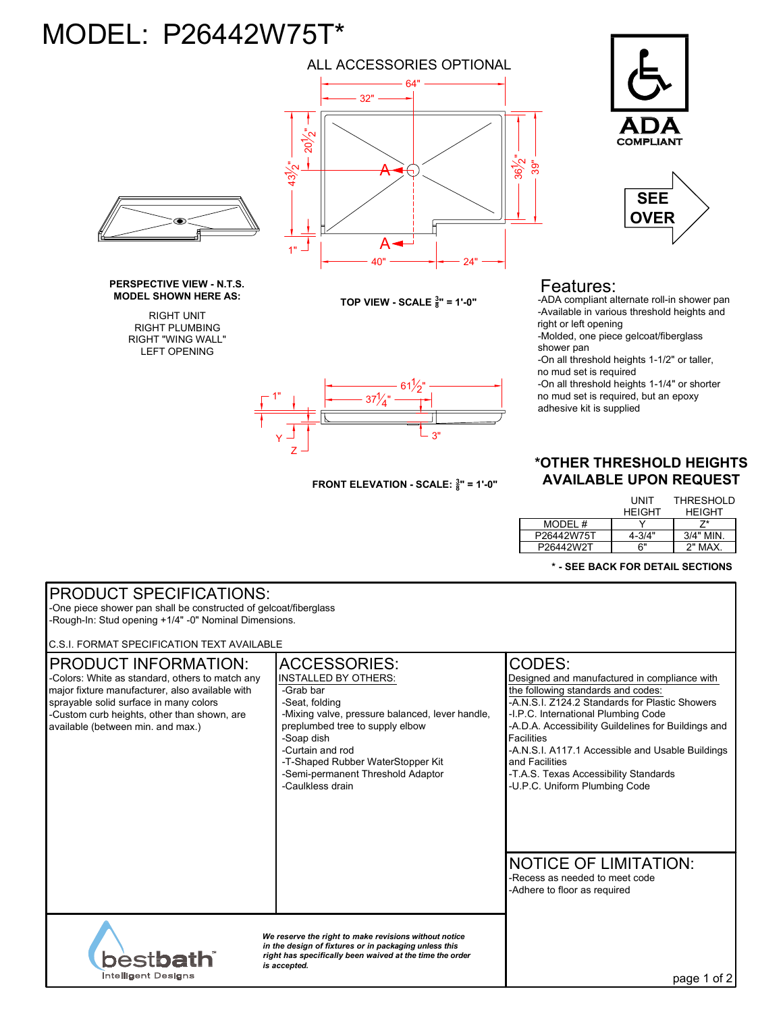## MODEL: P26442W75T\*

RIGHT PLUMBING RIGHT "WING WALL" LEFT OPENING



Z Y

1"





## Features:

-ADA compliant alternate roll-in shower pan -Available in various threshold heights and right or left opening

-Molded, one piece gelcoat/fiberglass shower pan

-On all threshold heights 1-1/2" or taller, no mud set is required

-On all threshold heights 1-1/4" or shorter no mud set is required, but an epoxy adhesive kit is supplied

## **\*OTHER THRESHOLD HEIGHTS AVAILABLE UPON REQUEST**

|            | UNIT<br><b>HEIGHT</b> | <b>THRESHOLD</b><br><b>HFIGHT</b> |
|------------|-----------------------|-----------------------------------|
| MODEL #    |                       |                                   |
| P26442W75T | 4-3/4"                | $3/4"$ MIN                        |
| P26442W2T  | 6"                    | 2" MAX                            |

## **\* - SEE BACK FOR DETAIL SECTIONS**

| <b>PRODUCT SPECIFICATIONS:</b><br>-One piece shower pan shall be constructed of gelcoat/fiberglass                                                                                                                                                              |                                                                                                                                                                                                                                                                                                         |                                                                                                                                                                                                                                                                                                                                                                                                                   |  |
|-----------------------------------------------------------------------------------------------------------------------------------------------------------------------------------------------------------------------------------------------------------------|---------------------------------------------------------------------------------------------------------------------------------------------------------------------------------------------------------------------------------------------------------------------------------------------------------|-------------------------------------------------------------------------------------------------------------------------------------------------------------------------------------------------------------------------------------------------------------------------------------------------------------------------------------------------------------------------------------------------------------------|--|
| -Rough-In: Stud opening +1/4" -0" Nominal Dimensions.                                                                                                                                                                                                           |                                                                                                                                                                                                                                                                                                         |                                                                                                                                                                                                                                                                                                                                                                                                                   |  |
| C.S.I. FORMAT SPECIFICATION TEXT AVAILABLE                                                                                                                                                                                                                      |                                                                                                                                                                                                                                                                                                         |                                                                                                                                                                                                                                                                                                                                                                                                                   |  |
| <b>PRODUCT INFORMATION:</b><br>-Colors: White as standard, others to match any<br>major fixture manufacturer, also available with<br>sprayable solid surface in many colors<br>-Custom curb heights, other than shown, are<br>available (between min. and max.) | <b>ACCESSORIES:</b><br><b>INSTALLED BY OTHERS:</b><br>-Grab bar<br>-Seat, folding<br>-Mixing valve, pressure balanced, lever handle,<br>preplumbed tree to supply elbow<br>-Soap dish<br>-Curtain and rod<br>-T-Shaped Rubber WaterStopper Kit<br>-Semi-permanent Threshold Adaptor<br>-Caulkless drain | CODES:<br>Designed and manufactured in compliance with<br>the following standards and codes:<br>-A.N.S.I. Z124.2 Standards for Plastic Showers<br>-I.P.C. International Plumbing Code<br>-A.D.A. Accessibility Guildelines for Buildings and<br><b>Facilities</b><br>-A.N.S.I. A117.1 Accessible and Usable Buildings<br>and Facilities<br>-T.A.S. Texas Accessibility Standards<br>-U.P.C. Uniform Plumbing Code |  |
| <b>bestbath</b>                                                                                                                                                                                                                                                 | We reserve the right to make revisions without notice<br>in the design of fixtures or in packaging unless this<br>right has specifically been waived at the time the order                                                                                                                              | <b>NOTICE OF LIMITATION:</b><br>-Recess as needed to meet code<br>-Adhere to floor as required                                                                                                                                                                                                                                                                                                                    |  |
| <b>Intelligent Designs</b>                                                                                                                                                                                                                                      | is accepted.                                                                                                                                                                                                                                                                                            | page 1 of 2                                                                                                                                                                                                                                                                                                                                                                                                       |  |

61 $\frac{1}{2}$ "

 $37\frac{1}{4}$ "

**FRONT ELEVATION - SCALE: <sup>3</sup> <sup>8</sup>" = 1'-0"**

՝∟ <sub>3"</sub>